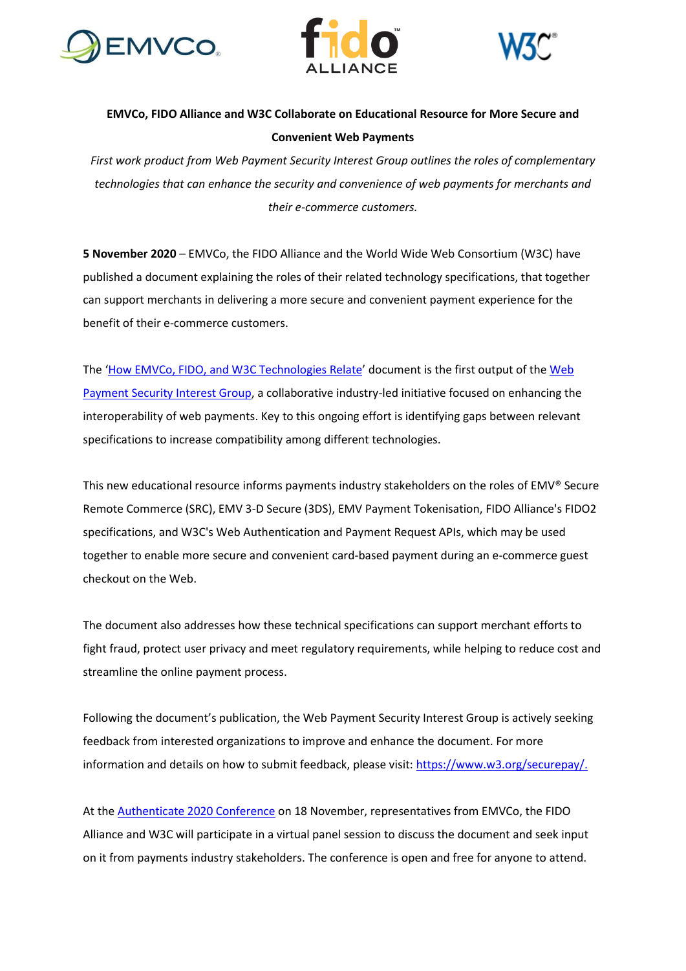





# **EMVCo, FIDO Alliance and W3C Collaborate on Educational Resource for More Secure and Convenient Web Payments**

*First work product from Web Payment Security Interest Group outlines the roles of complementary technologies that can enhance the security and convenience of web payments for merchants and their e-commerce customers.*

**5 November 2020** – EMVCo, the FIDO Alliance and the World Wide Web Consortium (W3C) have published a document explaining the roles of their related technology specifications, that together can support merchants in delivering a more secure and convenient payment experience for the benefit of their e-commerce customers.

The '[How EMVCo, FIDO, and W3C Technologies Relate](https://www.w3.org/TR/htr/)' document is the first output of the [Web](https://www.w3.org/securepay/)  [Payment Security Interest Group,](https://www.w3.org/securepay/) a collaborative industry-led initiative focused on enhancing the interoperability of web payments. Key to this ongoing effort is identifying gaps between relevant specifications to increase compatibility among different technologies.

This new educational resource informs payments industry stakeholders on the roles of EMV® Secure Remote Commerce (SRC), EMV 3-D Secure (3DS), EMV Payment Tokenisation, FIDO Alliance's FIDO2 specifications, and W3C's Web Authentication and Payment Request APIs, which may be used together to enable more secure and convenient card-based payment during an e-commerce guest checkout on the Web.

The document also addresses how these technical specifications can support merchant efforts to fight fraud, protect user privacy and meet regulatory requirements, while helping to reduce cost and streamline the online payment process.

Following the document's publication, the Web Payment Security Interest Group is actively seeking feedback from interested organizations to improve and enhance the document. For more information and details on how to submit feedback, please visit: [https://www.w3.org/securepay/.](https://www.w3.org/securepay/)

At the [Authenticate 2020 Conference](https://authenticatecon.com/) on 18 November, representatives from EMVCo, the FIDO Alliance and W3C will participate in a virtual panel session to discuss the document and seek input on it from payments industry stakeholders. The conference is open and free for anyone to attend.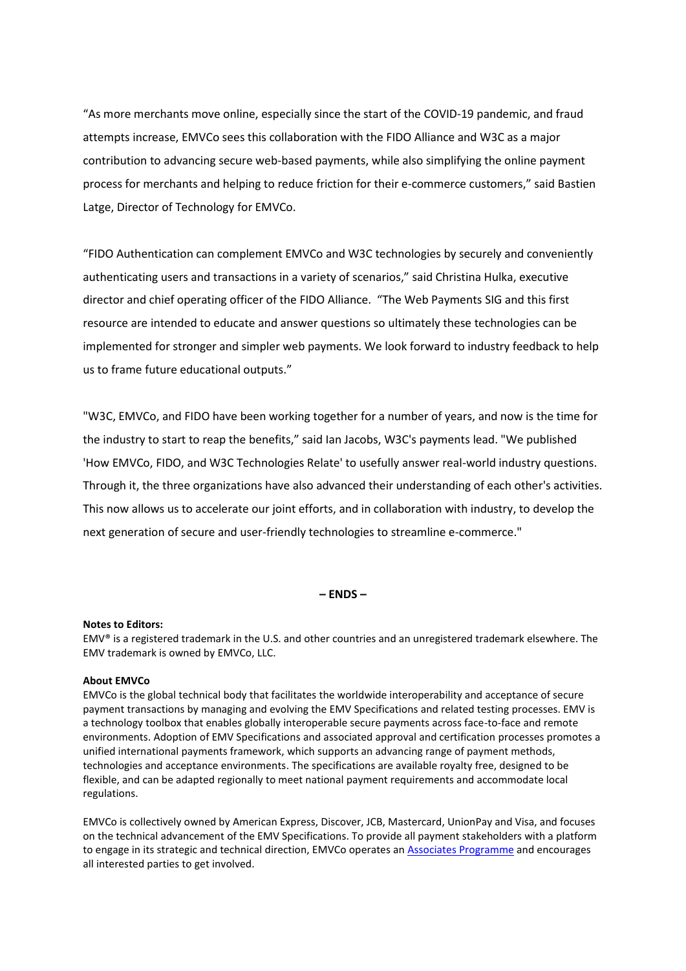"As more merchants move online, especially since the start of the COVID-19 pandemic, and fraud attempts increase, EMVCo sees this collaboration with the FIDO Alliance and W3C as a major contribution to advancing secure web-based payments, while also simplifying the online payment process for merchants and helping to reduce friction for their e-commerce customers," said Bastien Latge, Director of Technology for EMVCo.

"FIDO Authentication can complement EMVCo and W3C technologies by securely and conveniently authenticating users and transactions in a variety of scenarios," said Christina Hulka, executive director and chief operating officer of the FIDO Alliance. "The Web Payments SIG and this first resource are intended to educate and answer questions so ultimately these technologies can be implemented for stronger and simpler web payments. We look forward to industry feedback to help us to frame future educational outputs."

"W3C, EMVCo, and FIDO have been working together for a number of years, and now is the time for the industry to start to reap the benefits," said Ian Jacobs, W3C's payments lead. "We published 'How EMVCo, FIDO, and W3C Technologies Relate' to usefully answer real-world industry questions. Through it, the three organizations have also advanced their understanding of each other's activities. This now allows us to accelerate our joint efforts, and in collaboration with industry, to develop the next generation of secure and user-friendly technologies to streamline e-commerce."

# **– ENDS –**

### **Notes to Editors:**

EMV® is a registered trademark in the U.S. and other countries and an unregistered trademark elsewhere. The EMV trademark is owned by EMVCo, LLC.

# **About EMVCo**

EMVCo is the global technical body that facilitates the worldwide interoperability and acceptance of secure payment transactions by managing and evolving the EMV Specifications and related testing processes. EMV is a technology toolbox that enables globally interoperable secure payments across face-to-face and remote environments. Adoption of EMV Specifications and associated approval and certification processes promotes a unified international payments framework, which supports an advancing range of payment methods, technologies and acceptance environments. The specifications are available royalty free, designed to be flexible, and can be adapted regionally to meet national payment requirements and accommodate local regulations.

EMVCo is collectively owned by American Express, Discover, JCB, Mastercard, UnionPay and Visa, and focuses on the technical advancement of the EMV Specifications. To provide all payment stakeholders with a platform to engage in its strategic and technical direction, EMVCo operates an **Associates Programme** and encourages all interested parties to get involved.